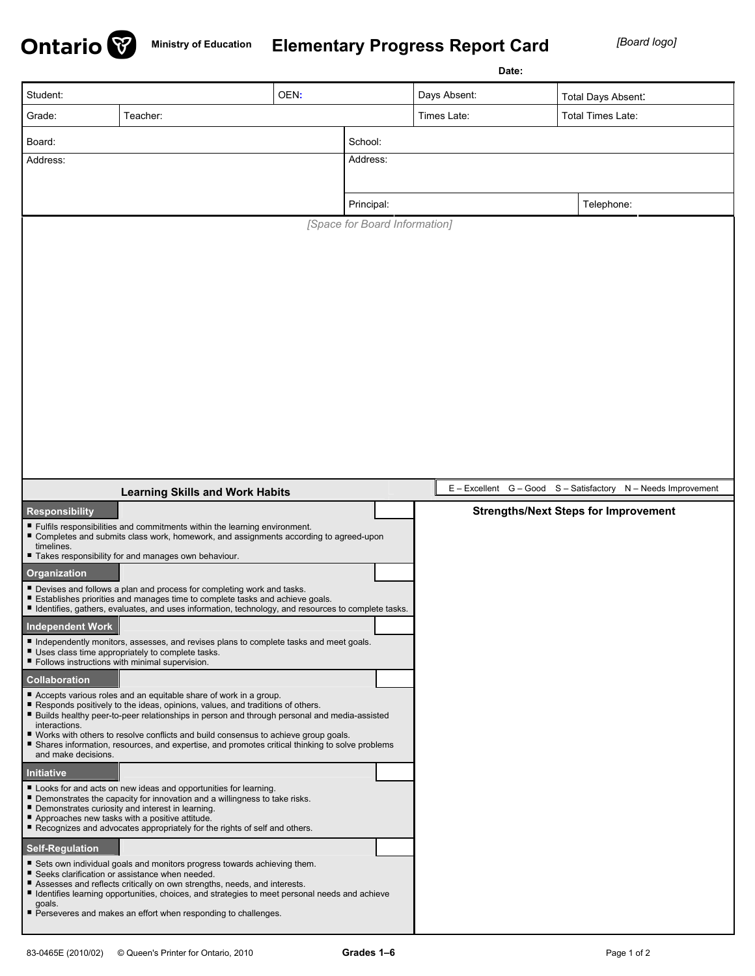

## **Ministry of Education Elementary Progress Report Card** *[Board logo]*

|                                                                                                                                                                                                                                                               |                                                                                                                                                                                          |      |                               | Date:             |                                                               |  |  |  |
|---------------------------------------------------------------------------------------------------------------------------------------------------------------------------------------------------------------------------------------------------------------|------------------------------------------------------------------------------------------------------------------------------------------------------------------------------------------|------|-------------------------------|-------------------|---------------------------------------------------------------|--|--|--|
| Student:                                                                                                                                                                                                                                                      |                                                                                                                                                                                          | OEN: |                               | Days Absent:      | Total Days Absent:                                            |  |  |  |
| Grade:<br>Teacher:                                                                                                                                                                                                                                            |                                                                                                                                                                                          |      | Times Late:                   | Total Times Late: |                                                               |  |  |  |
| Board:                                                                                                                                                                                                                                                        |                                                                                                                                                                                          |      | School:                       |                   |                                                               |  |  |  |
| Address:                                                                                                                                                                                                                                                      |                                                                                                                                                                                          |      | Address:                      |                   |                                                               |  |  |  |
|                                                                                                                                                                                                                                                               |                                                                                                                                                                                          |      |                               |                   |                                                               |  |  |  |
|                                                                                                                                                                                                                                                               |                                                                                                                                                                                          |      | Principal:                    |                   | Telephone:                                                    |  |  |  |
|                                                                                                                                                                                                                                                               |                                                                                                                                                                                          |      | [Space for Board Information] |                   |                                                               |  |  |  |
|                                                                                                                                                                                                                                                               |                                                                                                                                                                                          |      |                               |                   |                                                               |  |  |  |
|                                                                                                                                                                                                                                                               |                                                                                                                                                                                          |      |                               |                   |                                                               |  |  |  |
|                                                                                                                                                                                                                                                               |                                                                                                                                                                                          |      |                               |                   |                                                               |  |  |  |
|                                                                                                                                                                                                                                                               |                                                                                                                                                                                          |      |                               |                   |                                                               |  |  |  |
|                                                                                                                                                                                                                                                               |                                                                                                                                                                                          |      |                               |                   |                                                               |  |  |  |
|                                                                                                                                                                                                                                                               |                                                                                                                                                                                          |      |                               |                   |                                                               |  |  |  |
|                                                                                                                                                                                                                                                               |                                                                                                                                                                                          |      |                               |                   |                                                               |  |  |  |
|                                                                                                                                                                                                                                                               |                                                                                                                                                                                          |      |                               |                   |                                                               |  |  |  |
|                                                                                                                                                                                                                                                               |                                                                                                                                                                                          |      |                               |                   |                                                               |  |  |  |
|                                                                                                                                                                                                                                                               |                                                                                                                                                                                          |      |                               |                   |                                                               |  |  |  |
|                                                                                                                                                                                                                                                               |                                                                                                                                                                                          |      |                               |                   |                                                               |  |  |  |
|                                                                                                                                                                                                                                                               |                                                                                                                                                                                          |      |                               |                   |                                                               |  |  |  |
|                                                                                                                                                                                                                                                               | <b>Learning Skills and Work Habits</b>                                                                                                                                                   |      |                               |                   | E - Excellent G - Good S - Satisfactory N - Needs Improvement |  |  |  |
| <b>Responsibility</b>                                                                                                                                                                                                                                         |                                                                                                                                                                                          |      |                               |                   | <b>Strengths/Next Steps for Improvement</b>                   |  |  |  |
| timelines.                                                                                                                                                                                                                                                    | Fulfils responsibilities and commitments within the learning environment.<br>Completes and submits class work, homework, and assignments according to agreed-upon                        |      |                               |                   |                                                               |  |  |  |
|                                                                                                                                                                                                                                                               | " Takes responsibility for and manages own behaviour.                                                                                                                                    |      |                               |                   |                                                               |  |  |  |
| Organization                                                                                                                                                                                                                                                  |                                                                                                                                                                                          |      |                               |                   |                                                               |  |  |  |
| Devises and follows a plan and process for completing work and tasks.<br>Establishes priorities and manages time to complete tasks and achieve goals.<br>■ Identifies, gathers, evaluates, and uses information, technology, and resources to complete tasks. |                                                                                                                                                                                          |      |                               |                   |                                                               |  |  |  |
| <b>Independent Work</b>                                                                                                                                                                                                                                       |                                                                                                                                                                                          |      |                               |                   |                                                               |  |  |  |
| Independently monitors, assesses, and revises plans to complete tasks and meet goals.<br>Uses class time appropriately to complete tasks.<br>Follows instructions with minimal supervision.                                                                   |                                                                                                                                                                                          |      |                               |                   |                                                               |  |  |  |
| <b>Collaboration</b>                                                                                                                                                                                                                                          |                                                                                                                                                                                          |      |                               |                   |                                                               |  |  |  |
|                                                                                                                                                                                                                                                               | Accepts various roles and an equitable share of work in a group.<br>Responds positively to the ideas, opinions, values, and traditions of others.                                        |      |                               |                   |                                                               |  |  |  |
| interactions.                                                                                                                                                                                                                                                 | ■ Builds healthy peer-to-peer relationships in person and through personal and media-assisted                                                                                            |      |                               |                   |                                                               |  |  |  |
| and make decisions.                                                                                                                                                                                                                                           | ■ Works with others to resolve conflicts and build consensus to achieve group goals.<br>■ Shares information, resources, and expertise, and promotes critical thinking to solve problems |      |                               |                   |                                                               |  |  |  |
| <b>Initiative</b>                                                                                                                                                                                                                                             |                                                                                                                                                                                          |      |                               |                   |                                                               |  |  |  |
|                                                                                                                                                                                                                                                               | Looks for and acts on new ideas and opportunities for learning.<br>■ Demonstrates the capacity for innovation and a willingness to take risks.                                           |      |                               |                   |                                                               |  |  |  |
|                                                                                                                                                                                                                                                               | Demonstrates curiosity and interest in learning.<br>Approaches new tasks with a positive attitude.                                                                                       |      |                               |                   |                                                               |  |  |  |
|                                                                                                                                                                                                                                                               | Recognizes and advocates appropriately for the rights of self and others.                                                                                                                |      |                               |                   |                                                               |  |  |  |
| <b>Self-Regulation</b>                                                                                                                                                                                                                                        |                                                                                                                                                                                          |      |                               |                   |                                                               |  |  |  |
|                                                                                                                                                                                                                                                               | Sets own individual goals and monitors progress towards achieving them.<br>Seeks clarification or assistance when needed.                                                                |      |                               |                   |                                                               |  |  |  |
|                                                                                                                                                                                                                                                               | Assesses and reflects critically on own strengths, needs, and interests.<br>■ Identifies learning opportunities, choices, and strategies to meet personal needs and achieve              |      |                               |                   |                                                               |  |  |  |
| goals.                                                                                                                                                                                                                                                        | Perseveres and makes an effort when responding to challenges.                                                                                                                            |      |                               |                   |                                                               |  |  |  |
|                                                                                                                                                                                                                                                               |                                                                                                                                                                                          |      |                               |                   |                                                               |  |  |  |